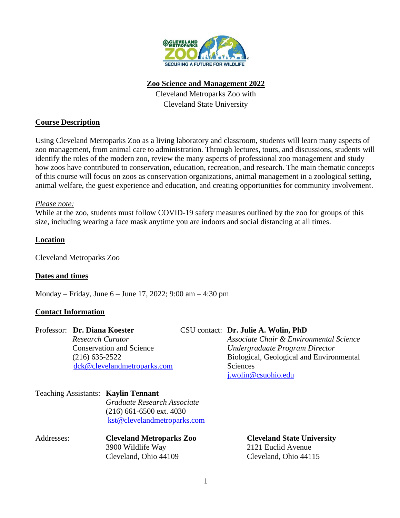

### **Zoo Science and Management 2022**

Cleveland Metroparks Zoo with Cleveland State University

# **Course Description**

Using Cleveland Metroparks Zoo as a living laboratory and classroom, students will learn many aspects of zoo management, from animal care to administration. Through lectures, tours, and discussions, students will identify the roles of the modern zoo, review the many aspects of professional zoo management and study how zoos have contributed to conservation, education, recreation, and research. The main thematic concepts of this course will focus on zoos as conservation organizations, animal management in a zoological setting, animal welfare, the guest experience and education, and creating opportunities for community involvement.

### *Please note:*

While at the zoo, students must follow COVID-19 safety measures outlined by the zoo for groups of this size, including wearing a face mask anytime you are indoors and social distancing at all times.

# **Location**

Cleveland Metroparks Zoo

# **Dates and times**

Monday – Friday, June 6 – June 17, 2022; 9:00 am – 4:30 pm

# **Contact Information**

# Professor: **Dr. Diana Koester** CSU contact: **Dr. Julie A. Wolin, PhD**

 *Research Curator Associate Chair & Environmental Science* Conservation and Science *Undergraduate Program Director* (216) 635-2522 Biological, Geological and Environmental [dck@clevelandmetroparks.com](mailto:dck@clevelandmetroparks.com) Sciences [j.wolin@csuohio.edu](mailto:j.wolin@csuohio.edu)

| Teaching Assistants: Kaylin Tennant |                             |
|-------------------------------------|-----------------------------|
|                                     | Graduate Research Associate |
|                                     | $(216)$ 661-6500 ext. 4030  |
|                                     | kst@clevelandmetroparks.com |
|                                     |                             |

| Addresses: | <b>Cleveland Metroparks Zoo</b> | <b>Cleveland State University</b> |
|------------|---------------------------------|-----------------------------------|
|            | 3900 Wildlife Way               | 2121 Euclid Avenue                |
|            | Cleveland, Ohio 44109           | Cleveland, Ohio 44115             |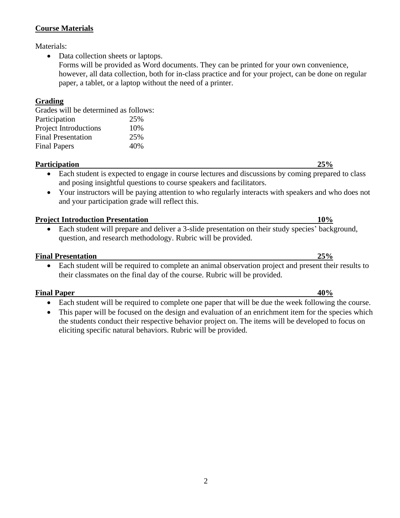# **Course Materials**

Materials:

- Data collection sheets or laptops.
	- Forms will be provided as Word documents. They can be printed for your own convenience, however, all data collection, both for in-class practice and for your project, can be done on regular paper, a tablet, or a laptop without the need of a printer.

### **Grading**

Grades will be determined as follows: Participation 25% Project Introductions 10% Final Presentation 25% Final Papers 40%

#### **Participation 25%**

- Each student is expected to engage in course lectures and discussions by coming prepared to class and posing insightful questions to course speakers and facilitators.
- Your instructors will be paying attention to who regularly interacts with speakers and who does not and your participation grade will reflect this.

#### **Project Introduction Presentation 10%**

• Each student will prepare and deliver a 3-slide presentation on their study species' background, question, and research methodology. Rubric will be provided.

#### **Final Presentation 25%**

• Each student will be required to complete an animal observation project and present their results to their classmates on the final day of the course. Rubric will be provided.

#### **Final Paper 40%**

- Each student will be required to complete one paper that will be due the week following the course.
- This paper will be focused on the design and evaluation of an enrichment item for the species which the students conduct their respective behavior project on. The items will be developed to focus on eliciting specific natural behaviors. Rubric will be provided.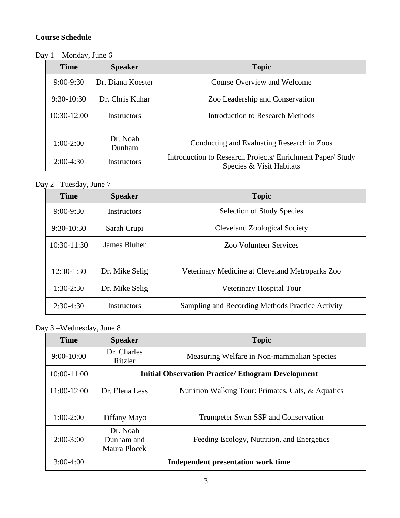# **Course Schedule**

Day 1 – Monday, June 6

| <b>Time</b>   | <b>Speaker</b>     | <b>Topic</b>                                                                           |
|---------------|--------------------|----------------------------------------------------------------------------------------|
| $9:00 - 9:30$ | Dr. Diana Koester  | Course Overview and Welcome                                                            |
| $9:30-10:30$  | Dr. Chris Kuhar    | Zoo Leadership and Conservation                                                        |
| $10:30-12:00$ | <b>Instructors</b> | Introduction to Research Methods                                                       |
|               |                    |                                                                                        |
| $1:00-2:00$   | Dr. Noah<br>Dunham | Conducting and Evaluating Research in Zoos                                             |
| $2:00-4:30$   | Instructors        | Introduction to Research Projects/ Enrichment Paper/ Study<br>Species & Visit Habitats |

# Day 2 –Tuesday, June 7

| <b>Time</b>   | <b>Speaker</b>     | <b>Topic</b>                                     |
|---------------|--------------------|--------------------------------------------------|
| $9:00-9:30$   | Instructors        | <b>Selection of Study Species</b>                |
| $9:30-10:30$  | Sarah Crupi        | <b>Cleveland Zoological Society</b>              |
| $10:30-11:30$ | James Bluher       | <b>Zoo Volunteer Services</b>                    |
|               |                    |                                                  |
| $12:30-1:30$  | Dr. Mike Selig     | Veterinary Medicine at Cleveland Metroparks Zoo  |
| $1:30-2:30$   | Dr. Mike Selig     | Veterinary Hospital Tour                         |
| $2:30-4:30$   | <b>Instructors</b> | Sampling and Recording Methods Practice Activity |

Day 3 –Wednesday, June 8

| <b>Time</b>     | <b>Speaker</b>                         | <b>Topic</b>                                              |
|-----------------|----------------------------------------|-----------------------------------------------------------|
| $9:00-10:00$    | Dr. Charles<br>Ritzler                 | Measuring Welfare in Non-mammalian Species                |
| $10:00 - 11:00$ |                                        | <b>Initial Observation Practice/ Ethogram Development</b> |
| 11:00-12:00     | Dr. Elena Less                         | Nutrition Walking Tour: Primates, Cats, & Aquatics        |
|                 |                                        |                                                           |
| $1:00-2:00$     | <b>Tiffany Mayo</b>                    | Trumpeter Swan SSP and Conservation                       |
| $2:00-3:00$     | Dr. Noah<br>Dunham and<br>Maura Plocek | Feeding Ecology, Nutrition, and Energetics                |
| $3:00-4:00$     |                                        | Independent presentation work time                        |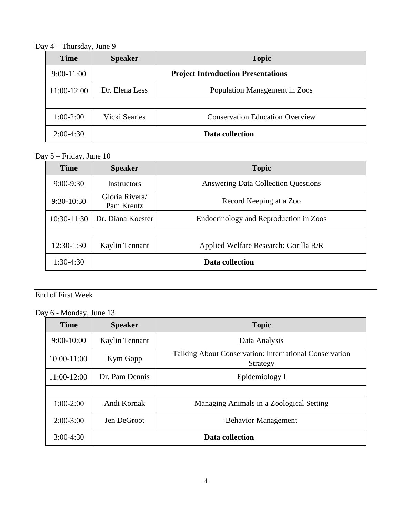Day 4 – Thursday, June 9

| <b>Time</b>  | <b>Speaker</b> | <b>Topic</b>                              |
|--------------|----------------|-------------------------------------------|
| $9:00-11:00$ |                | <b>Project Introduction Presentations</b> |
| 11:00-12:00  | Dr. Elena Less | Population Management in Zoos             |
|              |                |                                           |
| $1:00-2:00$  | Vicki Searles  | <b>Conservation Education Overview</b>    |
| $2:00-4:30$  |                | Data collection                           |

# Day 5 – Friday, June 10

| <b>Time</b>   | <b>Speaker</b>               | <b>Topic</b>                               |
|---------------|------------------------------|--------------------------------------------|
| $9:00-9:30$   | <b>Instructors</b>           | <b>Answering Data Collection Questions</b> |
| $9:30-10:30$  | Gloria Rivera/<br>Pam Krentz | Record Keeping at a Zoo                    |
| $10:30-11:30$ | Dr. Diana Koester            | Endocrinology and Reproduction in Zoos     |
|               |                              |                                            |
| $12:30-1:30$  | Kaylin Tennant               | Applied Welfare Research: Gorilla R/R      |
| $1:30-4:30$   |                              | Data collection                            |

# End of First Week

Day 6 - Monday, June 13

| <b>Time</b>     | <b>Speaker</b>  | <b>Topic</b>                                                       |
|-----------------|-----------------|--------------------------------------------------------------------|
| $9:00-10:00$    | Kaylin Tennant  | Data Analysis                                                      |
| $10:00 - 11:00$ | Kym Gopp        | Talking About Conservation: International Conservation<br>Strategy |
| 11:00-12:00     | Dr. Pam Dennis  | Epidemiology I                                                     |
|                 |                 |                                                                    |
| $1:00-2:00$     | Andi Kornak     | Managing Animals in a Zoological Setting                           |
| $2:00-3:00$     | Jen DeGroot     | <b>Behavior Management</b>                                         |
| $3:00-4:30$     | Data collection |                                                                    |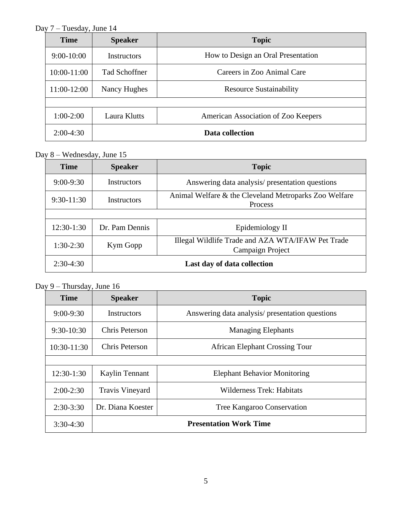Day 7 – Tuesday, June 14

| <b>Time</b>     | <b>Speaker</b>       | <b>Topic</b>                        |
|-----------------|----------------------|-------------------------------------|
| $9:00-10:00$    | <b>Instructors</b>   | How to Design an Oral Presentation  |
| $10:00 - 11:00$ | <b>Tad Schoffner</b> | Careers in Zoo Animal Care          |
| 11:00-12:00     | Nancy Hughes         | <b>Resource Sustainability</b>      |
|                 |                      |                                     |
| $1:00-2:00$     | Laura Klutts         | American Association of Zoo Keepers |
| $2:00-4:30$     |                      | Data collection                     |

Day 8 – Wednesday, June 15

| <b>Time</b>                                | <b>Speaker</b>     | <b>Topic</b>                                                            |
|--------------------------------------------|--------------------|-------------------------------------------------------------------------|
| $9:00 - 9:30$                              | <b>Instructors</b> | Answering data analysis/ presentation questions                         |
| $9:30-11:30$                               | Instructors        | Animal Welfare & the Cleveland Metroparks Zoo Welfare<br><b>Process</b> |
|                                            |                    |                                                                         |
| $12:30-1:30$                               | Dr. Pam Dennis     | Epidemiology II                                                         |
| $1:30-2:30$                                | Kym Gopp           | Illegal Wildlife Trade and AZA WTA/IFAW Pet Trade<br>Campaign Project   |
| Last day of data collection<br>$2:30-4:30$ |                    |                                                                         |

Day 9 – Thursday, June 16

| <b>Time</b>   | <b>Speaker</b>         | <b>Topic</b>                                    |
|---------------|------------------------|-------------------------------------------------|
| $9:00 - 9:30$ | <b>Instructors</b>     | Answering data analysis/ presentation questions |
| $9:30-10:30$  | <b>Chris Peterson</b>  | <b>Managing Elephants</b>                       |
| $10:30-11:30$ | Chris Peterson         | <b>African Elephant Crossing Tour</b>           |
|               |                        |                                                 |
| $12:30-1:30$  | Kaylin Tennant         | <b>Elephant Behavior Monitoring</b>             |
| $2:00-2:30$   | <b>Travis Vineyard</b> | <b>Wilderness Trek: Habitats</b>                |
| $2:30-3:30$   | Dr. Diana Koester      | Tree Kangaroo Conservation                      |
| $3:30-4:30$   |                        | <b>Presentation Work Time</b>                   |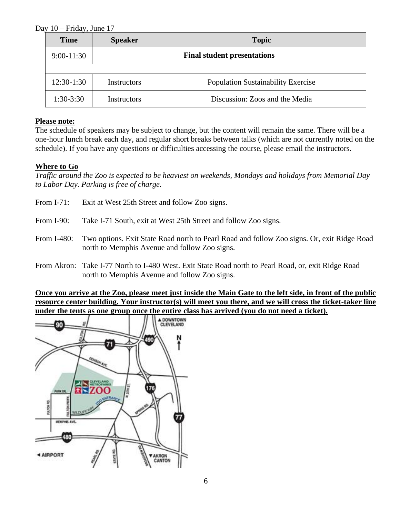### Day 10 – Friday, June 17

| <b>Time</b>  | <b>Speaker</b> | <b>Topic</b>                              |
|--------------|----------------|-------------------------------------------|
| $9:00-11:30$ |                | <b>Final student presentations</b>        |
|              |                |                                           |
| $12:30-1:30$ | Instructors    | <b>Population Sustainability Exercise</b> |
| $1:30-3:30$  | Instructors    | Discussion: Zoos and the Media            |

#### **Please note:**

The schedule of speakers may be subject to change, but the content will remain the same. There will be a one-hour lunch break each day, and regular short breaks between talks (which are not currently noted on the schedule). If you have any questions or difficulties accessing the course, please email the instructors.

### **Where to Go**

*Traffic around the Zoo is expected to be heaviest on weekends, Mondays and holidays from Memorial Day to Labor Day. Parking is free of charge.*

- From I-71: Exit at West 25th Street and follow Zoo signs.
- From I-90: Take I-71 South, exit at West 25th Street and follow Zoo signs.
- From I-480: Two options. Exit State Road north to Pearl Road and follow Zoo signs. Or, exit Ridge Road north to Memphis Avenue and follow Zoo signs.
- From Akron: Take I-77 North to I-480 West. Exit State Road north to Pearl Road, or, exit Ridge Road north to Memphis Avenue and follow Zoo signs.

**Once you arrive at the Zoo, please meet just inside the Main Gate to the left side, in front of the public resource center building. Your instructor(s) will meet you there, and we will cross the ticket-taker line under the tents as one group once the entire class has arrived (you do not need a ticket).**